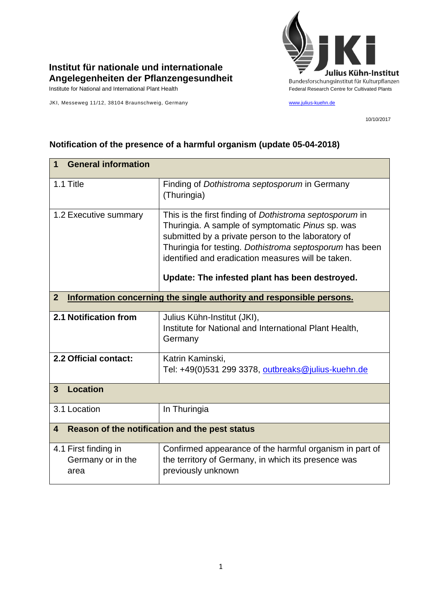

## **Institut für nationale und internationale Angelegenheiten der Pflanzengesundheit**

 $\mathbf{r}$ 

JKI, Messeweg 11/12, 38104 Braunschweig, Germany [www.julius-kuehn.de](http://www.julius-kuehn.de/)

10/10/2017

 $\overline{\phantom{a}}$ 

| <b>General information</b><br>$\mathbf 1$                                            |                                                                                                                                                                                                                                                                                                                                      |  |
|--------------------------------------------------------------------------------------|--------------------------------------------------------------------------------------------------------------------------------------------------------------------------------------------------------------------------------------------------------------------------------------------------------------------------------------|--|
| 1.1 Title                                                                            | Finding of Dothistroma septosporum in Germany<br>(Thuringia)                                                                                                                                                                                                                                                                         |  |
| 1.2 Executive summary                                                                | This is the first finding of Dothistroma septosporum in<br>Thuringia. A sample of symptomatic Pinus sp. was<br>submitted by a private person to the laboratory of<br>Thuringia for testing. Dothistroma septosporum has been<br>identified and eradication measures will be taken.<br>Update: The infested plant has been destroyed. |  |
| Information concerning the single authority and responsible persons.<br>$\mathbf{2}$ |                                                                                                                                                                                                                                                                                                                                      |  |
| 2.1 Notification from                                                                | Julius Kühn-Institut (JKI),<br>Institute for National and International Plant Health,<br>Germany                                                                                                                                                                                                                                     |  |
| 2.2 Official contact:                                                                | Katrin Kaminski,<br>Tel: +49(0)531 299 3378, outbreaks@julius-kuehn.de                                                                                                                                                                                                                                                               |  |
| <b>Location</b><br>$\mathbf{3}$                                                      |                                                                                                                                                                                                                                                                                                                                      |  |
| 3.1 Location                                                                         | In Thuringia                                                                                                                                                                                                                                                                                                                         |  |
| Reason of the notification and the pest status<br>4                                  |                                                                                                                                                                                                                                                                                                                                      |  |
| 4.1 First finding in<br>Germany or in the<br>area                                    | Confirmed appearance of the harmful organism in part of<br>the territory of Germany, in which its presence was<br>previously unknown                                                                                                                                                                                                 |  |

## **Notification of the presence of a harmful organism (update 05-04-2018)**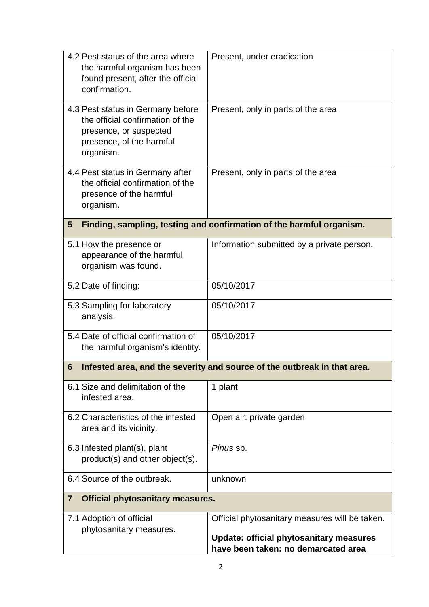| 4.2 Pest status of the area where<br>the harmful organism has been<br>found present, after the official<br>confirmation.                 | Present, under eradication                                                                                                              |
|------------------------------------------------------------------------------------------------------------------------------------------|-----------------------------------------------------------------------------------------------------------------------------------------|
| 4.3 Pest status in Germany before<br>the official confirmation of the<br>presence, or suspected<br>presence, of the harmful<br>organism. | Present, only in parts of the area                                                                                                      |
| 4.4 Pest status in Germany after<br>the official confirmation of the<br>presence of the harmful<br>organism.                             | Present, only in parts of the area                                                                                                      |
| 5                                                                                                                                        | Finding, sampling, testing and confirmation of the harmful organism.                                                                    |
| 5.1 How the presence or<br>appearance of the harmful<br>organism was found.                                                              | Information submitted by a private person.                                                                                              |
| 5.2 Date of finding:                                                                                                                     | 05/10/2017                                                                                                                              |
| 5.3 Sampling for laboratory<br>analysis.                                                                                                 | 05/10/2017                                                                                                                              |
| 5.4 Date of official confirmation of<br>the harmful organism's identity.                                                                 | 05/10/2017                                                                                                                              |
| 6                                                                                                                                        | Infested area, and the severity and source of the outbreak in that area.                                                                |
| 6.1 Size and delimitation of the<br>infested area.                                                                                       | 1 plant                                                                                                                                 |
| 6.2 Characteristics of the infested<br>area and its vicinity.                                                                            | Open air: private garden                                                                                                                |
| 6.3 Infested plant(s), plant<br>product(s) and other object(s).                                                                          | Pinus sp.                                                                                                                               |
| 6.4 Source of the outbreak.                                                                                                              | unknown                                                                                                                                 |
| <b>Official phytosanitary measures.</b><br>$\overline{7}$                                                                                |                                                                                                                                         |
| 7.1 Adoption of official<br>phytosanitary measures.                                                                                      | Official phytosanitary measures will be taken.<br><b>Update: official phytosanitary measures</b><br>have been taken: no demarcated area |